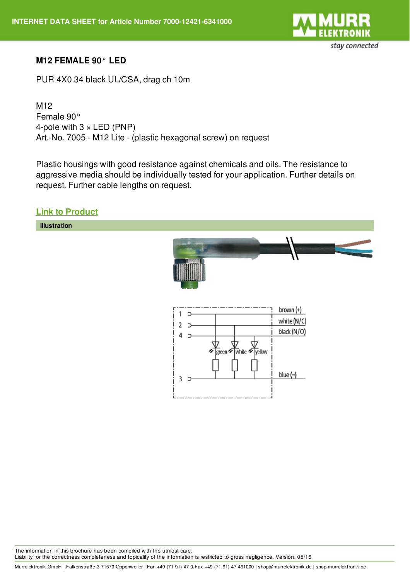

### **M12 FEMALE 90° LED**

PUR 4X0.34 black UL/CSA, drag ch 10m

M12 Female 90° 4-pole with  $3 \times LED$  (PNP) Art.-No. 7005 - M12 Lite - (plastic hexagonal screw) on request

Plastic housings with good resistance against chemicals and oils. The resistance to aggressive media should be individually tested for your application. Further details on request. Further cable lengths on request.

### **Link to [Product](http://shop.murrelektronik.de/7000-12421-6341000?lang=1)**

**Illustration**



The information in this brochure has been compiled with the utmost care. Liability for the correctness completeness and topicality of the information is restricted to gross negligence. Version: 05/16

Murrelektronik GmbH | Falkenstraße 3,71570 Oppenweiler | Fon +49 (71 91) 47-0,Fax +49 (71 91) 47-491000 | shop@murrelektronik.de | shop.murrelektronik.de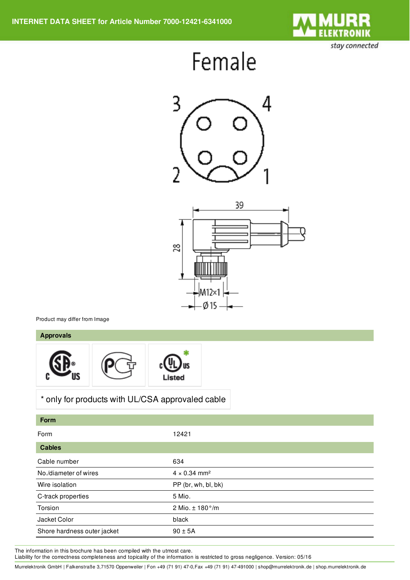

stay connected

# Female





Product may differ from Image

#### **Approvals**



## \* only for products with UL/CSA approvaled cable

| <b>Form</b>                 |                                 |
|-----------------------------|---------------------------------|
| Form                        | 12421                           |
| <b>Cables</b>               |                                 |
| Cable number                | 634                             |
| No./diameter of wires       | $4 \times 0.34$ mm <sup>2</sup> |
| Wire isolation              | PP (br, wh, bl, bk)             |
| C-track properties          | 5 Mio.                          |
| Torsion                     | 2 Mio. $\pm$ 180 $^{\circ}/m$   |
| Jacket Color                | black                           |
| Shore hardness outer jacket | $90 \pm 5A$                     |

The information in this brochure has been compiled with the utmost care.

Liability for the correctness completeness and topicality of the information is restricted to gross negligence. Version: 05/16

Murrelektronik GmbH | Falkenstraße 3,71570 Oppenweiler | Fon +49 (71 91) 47-0,Fax +49 (71 91) 47-491000 | shop@murrelektronik.de | shop.murrelektronik.de